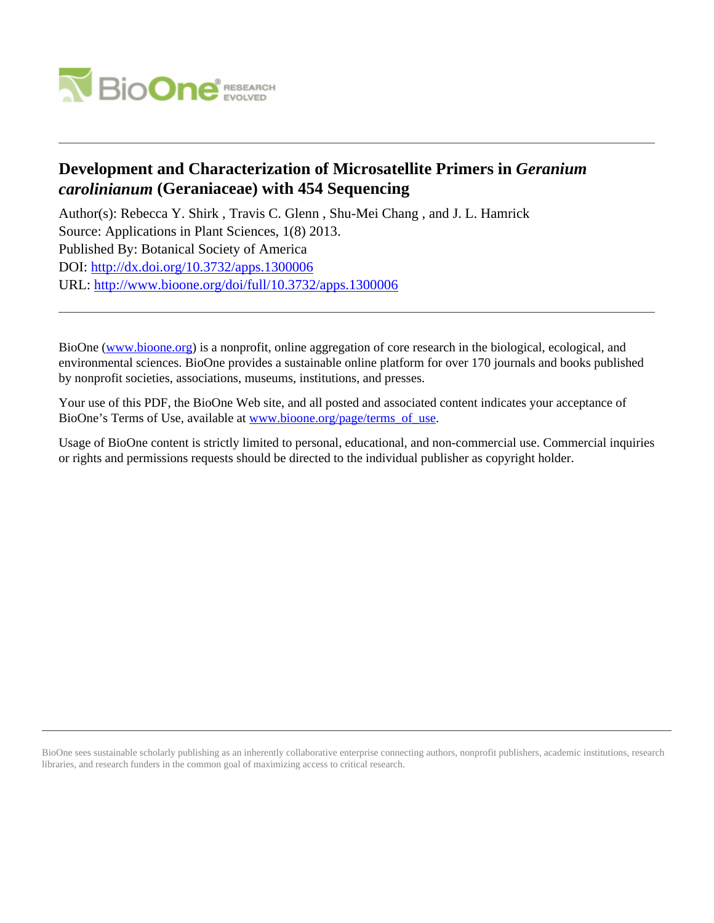

# **Development and Characterization of Microsatellite Primers in** *Geranium carolinianum* **(Geraniaceae) with 454 Sequencing**

Author(s): Rebecca Y. Shirk , Travis C. Glenn , Shu-Mei Chang , and J. L. Hamrick Source: Applications in Plant Sciences, 1(8) 2013. Published By: Botanical Society of America DOI:<http://dx.doi.org/10.3732/apps.1300006> URL: <http://www.bioone.org/doi/full/10.3732/apps.1300006>

BioOne [\(www.bioone.org\)](http://www.bioone.org) is a nonprofit, online aggregation of core research in the biological, ecological, and environmental sciences. BioOne provides a sustainable online platform for over 170 journals and books published by nonprofit societies, associations, museums, institutions, and presses.

Your use of this PDF, the BioOne Web site, and all posted and associated content indicates your acceptance of BioOne's Terms of Use, available at [www.bioone.org/page/terms\\_of\\_use.](http://www.bioone.org/page/terms_of_use)

Usage of BioOne content is strictly limited to personal, educational, and non-commercial use. Commercial inquiries or rights and permissions requests should be directed to the individual publisher as copyright holder.

BioOne sees sustainable scholarly publishing as an inherently collaborative enterprise connecting authors, nonprofit publishers, academic institutions, research libraries, and research funders in the common goal of maximizing access to critical research.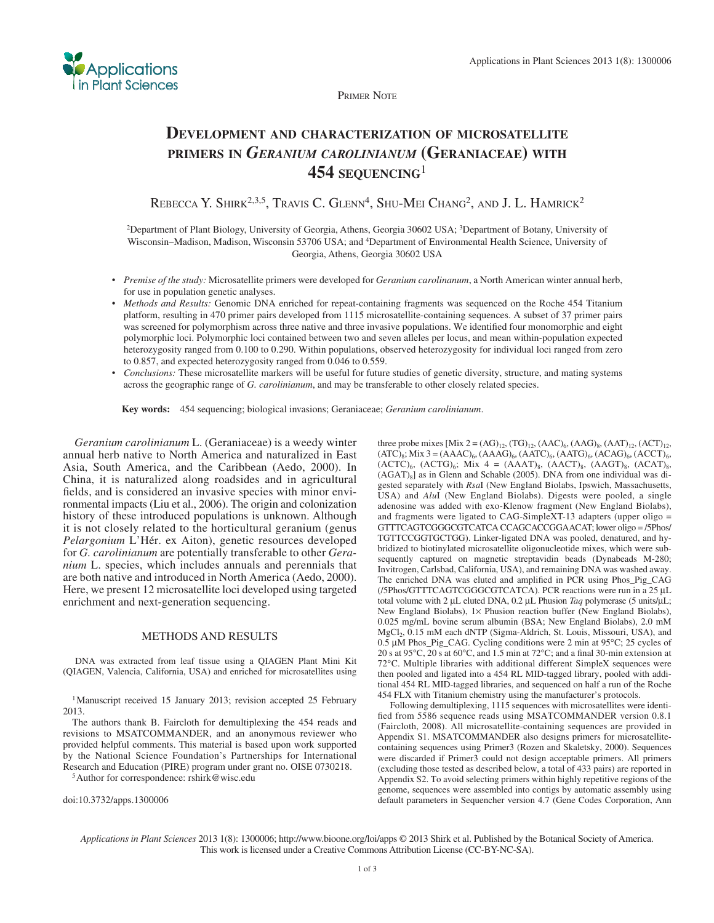

PRIMER NOTE

## **DEVELOPMENT AND CHARACTERIZATION OF MICROSATELLITE PRIMERS IN** *GERANIUM CAROLINIANUM* **(GERANIACEAE) WITH 454 SEQUENCING**<sup>1</sup>

REBECCA Y. SHIRK<sup>2,3,5</sup>, TRAVIS C. GLENN<sup>4</sup>, SHU-MEI CHANG<sup>2</sup>, AND J. L. HAMRICK<sup>2</sup>

<sup>2</sup>Department of Plant Biology, University of Georgia, Athens, Georgia 30602 USA; <sup>3</sup>Department of Botany, University of Wisconsin–Madison, Madison, Wisconsin 53706 USA; and 4 Department of Environmental Health Science, University of Georgia, Athens, Georgia 30602 USA

- *Premise of the study:* Microsatellite primers were developed for *Geranium carolinanum* , a North American winter annual herb, for use in population genetic analyses.
- *Methods and Results:* Genomic DNA enriched for repeat-containing fragments was sequenced on the Roche 454 Titanium platform, resulting in 470 primer pairs developed from 1115 microsatellite-containing sequences. A subset of 37 primer pairs was screened for polymorphism across three native and three invasive populations. We identified four monomorphic and eight polymorphic loci. Polymorphic loci contained between two and seven alleles per locus, and mean within-population expected heterozygosity ranged from 0.100 to 0.290. Within populations, observed heterozygosity for individual loci ranged from zero to 0.857, and expected heterozygosity ranged from 0.046 to 0.559.
- *Conclusions:* These microsatellite markers will be useful for future studies of genetic diversity, structure, and mating systems across the geographic range of *G. carolinianum* , and may be transferable to other closely related species.

 **Key words:** 454 sequencing; biological invasions; Geraniaceae; *Geranium carolinianum* .

*Geranium carolinianum* L. (Geraniaceae) is a weedy winter annual herb native to North America and naturalized in East Asia, South America, and the Caribbean (Aedo, 2000). In China, it is naturalized along roadsides and in agricultural fields, and is considered an invasive species with minor environmental impacts (Liu et al., 2006). The origin and colonization history of these introduced populations is unknown. Although it is not closely related to the horticultural geranium (genus *Pelargonium* L'Hér. ex Aiton), genetic resources developed for *G. carolinianum* are potentially transferable to other *Geranium* L. species, which includes annuals and perennials that are both native and introduced in North America (Aedo, 2000). Here, we present 12 microsatellite loci developed using targeted enrichment and next-generation sequencing.

#### METHODS AND RESULTS

 DNA was extracted from leaf tissue using a QIAGEN Plant Mini Kit (QIAGEN, Valencia, California, USA) and enriched for microsatellites using

<sup>1</sup> Manuscript received 15 January 2013; revision accepted 25 February 2013.

 The authors thank B. Faircloth for demultiplexing the 454 reads and revisions to MSATCOMMANDER, and an anonymous reviewer who provided helpful comments. This material is based upon work supported by the National Science Foundation's Partnerships for International Research and Education (PIRE) program under grant no. OISE 0730218.<br><sup>5</sup> Author for correspondence: rshirk@wisc.edu

doi:10.3732/apps.1300006

three probe mixes  $[Mix 2 = (AG)_{12}$ ,  $(TG)_{12}$ ,  $(AAC)_{6}$ ,  $(AAG)_{8}$ ,  $(AAT)_{12}$ ,  $(ACT)_{12}$ ,  $(ATC)_8$ ; Mix 3 =  $(AAAC)_6$ ,  $(AAAG)_6$ ,  $(AATC)_6$ ,  $(AATG)_6$ ,  $(ACAG)_6$ ,  $(ACCT)_6$ ,  $(ACTC)_6$ ,  $(ACTG)_6$ ; Mix 4 =  $(AAAT)_8$ ,  $(AACT)_8$ ,  $(AAGT)_8$ ,  $(ACAT)_8$ ,  $(AGAT)_{8}$ ] as in Glenn and Schable (2005). DNA from one individual was digested separately with *RsaI* (New England Biolabs, Ipswich, Massachusetts, USA) and *AluI* (New England Biolabs). Digests were pooled, a single adenosine was added with exo-Klenow fragment (New England Biolabs), and fragments were ligated to CAG-SimpleXT-13 adapters (upper oligo = GTTTCAGTCGGGCGTCATCA CCAGCACCGGAACAT; lower oligo = /5Phos/ TGTTCCGGTGCTGG). Linker-ligated DNA was pooled, denatured, and hybridized to biotinylated microsatellite oligonucleotide mixes, which were subsequently captured on magnetic streptavidin beads (Dynabeads M-280; Invitrogen, Carlsbad, California, USA), and remaining DNA was washed away. The enriched DNA was eluted and amplified in PCR using Phos\_Pig\_CAG (/5Phos/GTTTCAGTCGGGCGTCATCA). PCR reactions were run in a 25 μ L total volume with 2 μL eluted DNA, 0.2 μL Phusion *Taq* polymerase (5 units/μL; New England Biolabs), 1× Phusion reaction buffer (New England Biolabs), 0.025 mg/mL bovine serum albumin (BSA; New England Biolabs), 2.0 mM MgCl<sub>2</sub>, 0.15 mM each dNTP (Sigma-Aldrich, St. Louis, Missouri, USA), and  $0.5 \mu M$  Phos\_Pig\_CAG. Cycling conditions were 2 min at 95 $^{\circ}$ C; 25 cycles of 20 s at 95 °C, 20 s at 60 °C, and 1.5 min at 72 °C; and a final 30-min extension at 72°C. Multiple libraries with additional different SimpleX sequences were then pooled and ligated into a 454 RL MID-tagged library, pooled with additional 454 RL MID-tagged libraries, and sequenced on half a run of the Roche 454 FLX with Titanium chemistry using the manufacturer's protocols.

 Following demultiplexing, 1115 sequences with microsatellites were identified from 5586 sequence reads using MSATCOMMANDER version 0.8.1 (Faircloth, 2008). All microsatellite-containing sequences are provided in Appendix S1. MSATCOMMANDER also designs primers for microsatellitecontaining sequences using Primer3 (Rozen and Skaletsky, 2000). Sequences were discarded if Primer3 could not design acceptable primers. All primers (excluding those tested as described below, a total of 433 pairs) are reported in Appendix S2. To avoid selecting primers within highly repetitive regions of the genome, sequences were assembled into contigs by automatic assembly using default parameters in Sequencher version 4.7 (Gene Codes Corporation, Ann

*Applications in Plant Sciences* 2013 1(8): 1300006; http://www.bioone.org/loi/apps © 2013 Shirk et al. Published by the Botanical Society of America. This work is licensed under a Creative Commons Attribution License (CC-BY-NC-SA).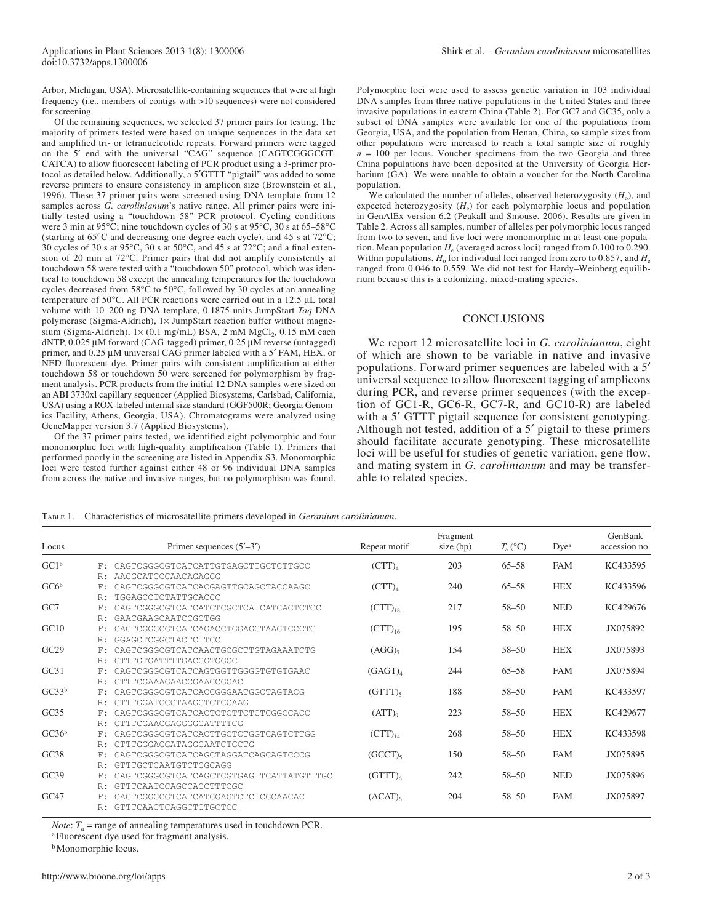Arbor, Michigan, USA). Microsatellite-containing sequences that were at high frequency (i.e., members of contigs with >10 sequences) were not considered for screening.

 Of the remaining sequences, we selected 37 primer pairs for testing. The majority of primers tested were based on unique sequences in the data set and amplified tri- or tetranucleotide repeats. Forward primers were tagged on the 5' end with the universal "CAG" sequence (CAGTCGGGCGT-CATCA) to allow fluorescent labeling of PCR product using a 3-primer protocol as detailed below. Additionally, a 5'GTTT "pigtail" was added to some reverse primers to ensure consistency in amplicon size (Brownstein et al., 1996). These 37 primer pairs were screened using DNA template from 12 samples across *G. carolinianum*'s native range. All primer pairs were initially tested using a "touchdown 58" PCR protocol. Cycling conditions were 3 min at 95 $^{\circ}$ C; nine touchdown cycles of 30 s at 95 $^{\circ}$ C, 30 s at 65–58 $^{\circ}$ C (starting at  $65^{\circ}$ C and decreasing one degree each cycle), and 45 s at  $72^{\circ}$ C; 30 cycles of 30 s at 95 $\degree$ C, 30 s at 50 $\degree$ C, and 45 s at 72 $\degree$ C; and a final extension of 20 min at  $72^{\circ}$ C. Primer pairs that did not amplify consistently at touchdown 58 were tested with a "touchdown 50" protocol, which was identical to touchdown 58 except the annealing temperatures for the touchdown cycles decreased from  $58^{\circ}$ C to  $50^{\circ}$ C, followed by 30 cycles at an annealing temperature of 50 $\degree$ C. All PCR reactions were carried out in a 12.5 µL total volume with 10–200 ng DNA template, 0.1875 units JumpStart *Taq* DNA polymerase (Sigma-Aldrich), 1× JumpStart reaction buffer without magnesium (Sigma-Aldrich),  $1 \times (0.1 \text{ mg/mL})$  BSA, 2 mM MgCl<sub>2</sub>, 0.15 mM each dNTP,  $0.025 \mu M$  forward (CAG-tagged) primer,  $0.25 \mu M$  reverse (untagged) primer, and 0.25 μM universal CAG primer labeled with a 5' FAM, HEX, or NED fluorescent dye. Primer pairs with consistent amplification at either touchdown 58 or touchdown 50 were screened for polymorphism by fragment analysis. PCR products from the initial 12 DNA samples were sized on an ABI 3730xl capillary sequencer (Applied Biosystems, Carlsbad, California, USA) using a ROX-labeled internal size standard (GGF500R; Georgia Genomics Facility, Athens, Georgia, USA). Chromatograms were analyzed using GeneMapper version 3.7 (Applied Biosystems).

Of the 37 primer pairs tested, we identified eight polymorphic and four monomorphic loci with high-quality amplification (Table 1). Primers that performed poorly in the screening are listed in Appendix S3. Monomorphic loci were tested further against either 48 or 96 individual DNA samples from across the native and invasive ranges, but no polymorphism was found.

Polymorphic loci were used to assess genetic variation in 103 individual DNA samples from three native populations in the United States and three invasive populations in eastern China (Table 2). For GC7 and GC35, only a subset of DNA samples were available for one of the populations from Georgia, USA, and the population from Henan, China, so sample sizes from other populations were increased to reach a total sample size of roughly  $n = 100$  per locus. Voucher specimens from the two Georgia and three China populations have been deposited at the University of Georgia Herbarium (GA). We were unable to obtain a voucher for the North Carolina population.

We calculated the number of alleles, observed heterozygosity  $(H_0)$ , and expected heterozygosity  $(H_e)$  for each polymorphic locus and population in GenAlEx version 6.2 ( Peakall and Smouse, 2006 ). Results are given in Table 2. Across all samples, number of alleles per polymorphic locus ranged from two to seven, and five loci were monomorphic in at least one population. Mean population  $H_e$  (averaged across loci) ranged from 0.100 to 0.290. Within populations,  $H_0$  for individual loci ranged from zero to 0.857, and  $H_e$ ranged from 0.046 to 0.559. We did not test for Hardy–Weinberg equilibrium because this is a colonizing, mixed-mating species.

#### **CONCLUSIONS**

 We report 12 microsatellite loci in *G. carolinianum* , eight of which are shown to be variable in native and invasive populations. Forward primer sequences are labeled with a 5' universal sequence to allow fluorescent tagging of amplicons during PCR, and reverse primer sequences (with the exception of GC1-R, GC6-R, GC7-R, and GC10-R) are labeled with a 5' GTTT pigtail sequence for consistent genotyping. Although not tested, addition of a 5' pigtail to these primers should facilitate accurate genotyping. These microsatellite loci will be useful for studies of genetic variation, gene flow, and mating system in *G. carolinianum* and may be transferable to related species.

TABLE 1. Characteristics of microsatellite primers developed in *Geranium carolinianum* .

| Locus             |          | Primer sequences $(5'–3')$                                     | Repeat motif         | Fragment<br>size $(bp)$ | $T_{\rm a}$ (°C) | Dyea       | GenBank<br>accession no. |
|-------------------|----------|----------------------------------------------------------------|----------------------|-------------------------|------------------|------------|--------------------------|
| GC1 <sup>b</sup>  | F:       | CAGTCGGGCGTCATCATTGTGAGCTTGCTCTTGCC                            | (CTT) <sub>4</sub>   | 203                     | $65 - 58$        | <b>FAM</b> | KC433595                 |
| G C6 <sup>b</sup> | R:<br>F: | AAGGCATCCCAACAGAGGG<br>CAGTCGGGCGTCATCACGAGTTGCAGCTACCAAGC     | (CTT) <sub>4</sub>   | 240                     | $65 - 58$        | <b>HEX</b> | KC433596                 |
|                   | R:       | TGGAGCCTCTATTGCACCC                                            |                      |                         |                  |            |                          |
| GC <sub>7</sub>   | F:       | CAGTCGGGCGTCATCATCTCGCTCATCATCACTCTCC                          | $(CTT)_{18}$         | 217                     | $58 - 50$        | <b>NED</b> | KC429676                 |
|                   | R:       | GAACGAAGCAATCCGCTGG                                            |                      |                         |                  |            |                          |
| GC10              | F:       | CAGTCGGGCGTCATCAGACCTGGAGGTAAGTCCCTG                           | $(CTT)_{16}$         | 195                     | $58 - 50$        | <b>HEX</b> | JX075892                 |
|                   | R:       | GGAGCTCGGCTACTCTTCC                                            |                      |                         |                  |            |                          |
| GC29              | F:       | CAGTCGGGCGTCATCAACTGCGCTTGTAGAAATCTG                           | (AGG) <sub>7</sub>   | 154                     | $58 - 50$        | <b>HEX</b> | JX075893                 |
|                   | R:       | GTTTGTGATTTTGACGGTGGGC                                         |                      |                         |                  |            |                          |
| GC31              | F:       | CAGTCGGGCGTCATCAGTGGTTGGGGTGTGTGAAC                            | (GAGT) <sub>4</sub>  | 244                     | $65 - 58$        | <b>FAM</b> | JX075894                 |
|                   | R:       | GTTTCGAAAGAACCGAACCGGAC                                        |                      |                         |                  |            |                          |
| GC33 <sup>b</sup> | F:       | CAGTCGGGCGTCATCACCGGGAATGGCTAGTACG                             | $(GTTT)_{5}$         | 188                     | $58 - 50$        | <b>FAM</b> | KC433597                 |
| GC35              | R:       | GTTTGGATGCCTAAGCTGTCCAAG                                       |                      | 223                     | $58 - 50$        | <b>HEX</b> | KC429677                 |
|                   | F:<br>R: | CAGTCGGGCGTCATCACTCTCTTCTCTCGGCCACC<br>GTTTCGAACGAGGGGCATTTTCG | $(ATT)$ <sup>o</sup> |                         |                  |            |                          |
| GC36 <sup>b</sup> | F:       | CAGTCGGGCGTCATCACTTGCTCTGGTCAGTCTTGG                           | $(CTT)_{14}$         | 268                     | $58 - 50$        | <b>HEX</b> | KC433598                 |
|                   | R:       | GTTTGGGAGGATAGGGAATCTGCTG                                      |                      |                         |                  |            |                          |
| GC38              | F:       | CAGTCGGGCGTCATCAGCTAGGATCAGCAGTCCCG                            | $(GCCT)_{5}$         | 150                     | $58 - 50$        | <b>FAM</b> | JX075895                 |
|                   | R:       | GTTTGCTCAATGTCTCGCAGG                                          |                      |                         |                  |            |                          |
| GC39              | F:       | CAGTCGGGCGTCATCAGCTCGTGAGTTCATTATGTTTGC                        | $(GTTT)_{6}$         | 242                     | $58 - 50$        | <b>NED</b> | JX075896                 |
|                   | R:       | GTTTCAATCCAGCCACCTTTCGC                                        |                      |                         |                  |            |                          |
| GC47              | F:       | CAGTCGGGCGTCATCATGGAGTCTCTCGCAACAC                             | (ACAT) <sub>6</sub>  | 204                     | $58 - 50$        | <b>FAM</b> | JX075897                 |
|                   | R:       | GTTTCAACTCAGGCTCTGCTCC                                         |                      |                         |                  |            |                          |

*Note:*  $T_a$  = range of annealing temperatures used in touchdown PCR.

<sup>a</sup> Fluorescent dye used for fragment analysis.

**b** Monomorphic locus.